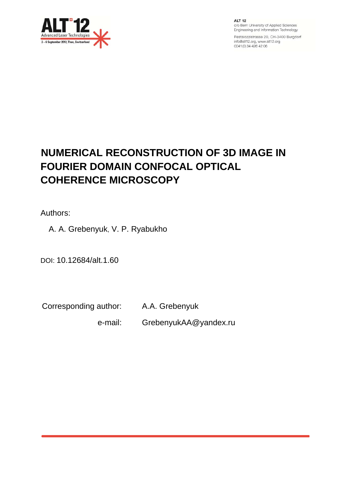

**ALT 12** c/o Bern University of Applied Sciences Engineering and Information Technology

Pestalozzistrasse 20, CH-3400 Burgdorf info@alt12.org, www.alt12.org 0041 (0) 34 426 42 06

# **NUMERICAL RECONSTRUCTION OF 3D IMAGE IN FOURIER DOMAIN CONFOCAL OPTICAL COHERENCE MICROSCOPY**

Authors:

A. A. Grebenyuk, V. P. Ryabukho

DOI: 10.12684/alt.1.60

Corresponding author: A.A. Grebenyuk

e-mail: GrebenyukAA@yandex.ru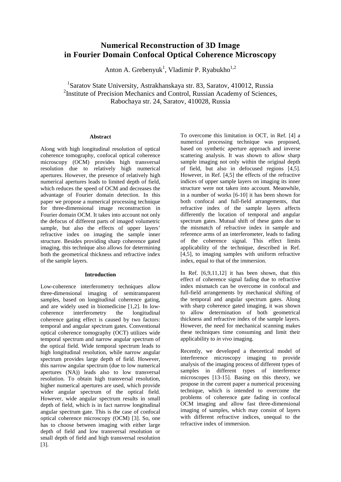# **Numerical Reconstruction of 3D Image in Fourier Domain Confocal Optical Coherence Microscopy**

Anton A. Grebenyuk<sup>1</sup>, Vladimir P. Ryabukho<sup>1,2</sup>

<sup>1</sup>Saratov State University, Astrakhanskaya str. 83, Saratov, 410012, Russia <sup>2</sup>Institute of Precision Mechanics and Control, Russian Academy of Sciences, Rabochaya str. 24, Saratov, 410028, Russia

## **Abstract**

Along with high longitudinal resolution of optical coherence tomography, confocal optical coherence microscopy (OCM) provides high transversal resolution due to relatively high numerical apertures. However, the presence of relatively high numerical apertures leads to limited depth of field, which reduces the speed of OCM and decreases the advantage of Fourier domain detection. In this paper we propose a numerical processing technique for three-dimensional image reconstruction in Fourier domain OCM. It takes into account not only the defocus of different parts of imaged volumetric sample, but also the effects of upper layers' refractive index on imaging the sample inner structure. Besides providing sharp coherence gated imaging, this technique also allows for determining both the geometrical thickness and refractive index of the sample layers.

#### **Introduction**

Low-coherence interferometry techniques allow three-dimensional imaging of semitransparent samples, based on longitudinal coherence gating, and are widely used in biomedicine [1,2]. In lowcoherence interferometry the longitudinal coherence gating effect is caused by two factors: temporal and angular spectrum gates. Conventional optical coherence tomography (OCT) utilizes wide temporal spectrum and narrow angular spectrum of the optical field. Wide temporal spectrum leads to high longitudinal resolution, while narrow angular spectrum provides large depth of field. However, this narrow angular spectrum (due to low numerical apertures (NA)) leads also to low transversal resolution. To obtain high transversal resolution, higher numerical apertures are used, which provide wider angular spectrum of the optical field. However, wide angular spectrum results in small depth of field, which is in fact narrow longitudinal angular spectrum gate. This is the case of confocal optical coherence microscopy (OCM) [3]. So, one has to choose between imaging with either large depth of field and low transversal resolution or small depth of field and high transversal resolution [3].

To overcome this limitation in OCT, in Ref. [4] a numerical processing technique was proposed, based on synthetic aperture approach and inverse scattering analysis. It was shown to allow sharp sample imaging not only within the original depth of field, but also in defocused regions [4,5]. However, in Ref. [4,5] the effects of the refractive indices of upper sample layers on imaging its inner structure were not taken into account. Meanwhile, in a number of works [6-10] it has been shown for both confocal and full-field arrangements, that refractive index of the sample layers affects differently the location of temporal and angular spectrum gates. Mutual shift of these gates due to the mismatch of refractive index in sample and reference arms of an interferometer, leads to fading of the coherence signal. This effect limits applicability of the technique, described in Ref. [4,5], to imaging samples with uniform refractive index, equal to that of the immersion.

In Ref. [6,9,11,12] it has been shown, that this effect of coherence signal fading due to refractive index mismatch can be overcome in confocal and full-field arrangements by mechanical shifting of the temporal and angular spectrum gates. Along with sharp coherence gated imaging, it was shown to allow determination of both geometrical thickness and refractive index of the sample layers. However, the need for mechanical scanning makes these techniques time consuming and limit their applicability to *in vivo* imaging.

Recently, we developed a theoretical model of interference microscopy imaging to provide analysis of the imaging process of different types of samples in different types of interference microscopes [13-15]. Basing on this theory, we propose in the current paper a numerical processing technique, which is intended to overcome the problems of coherence gate fading in confocal OCM imaging and allow fast three-dimensional imaging of samples, which may consist of layers with different refractive indices, unequal to the refractive index of immersion.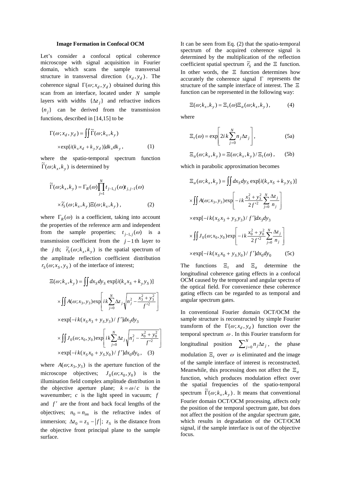#### **Image Formation in Confocal OCM**

Let's consider a confocal optical coherence microscope with signal acquisition in Fourier domain, which scans the sample transversal structure in transversal direction  $(x_d, y_d)$ . The coherence signal  $\Gamma(\omega; x_d, y_d)$  obtained during this scan from an interface, located under *N* sample layers with widths  $\{\Delta z_i\}$  and refractive indices  ${n_i}$  can be derived from the transmission functions, described in [14,15] to be

$$
\Gamma(\omega; x_d, y_d) = \iint \widetilde{\Gamma}(\omega; k_x, k_y) \times \exp[i(k_x x_d + k_y y_d)] dk_x dk_y,
$$
\n(1)

where the spatio-temporal spectrum function  $\widetilde{\Gamma}(\omega; k_x, k_y)$  is determined by

$$
\widetilde{\Gamma}(\omega;k_x,k_y) = \Gamma_R(\omega) \prod_{j=1}^N t_{j-1,j}(\omega) t_{j,j-1}(\omega)
$$

$$
\times \widetilde{r}_S(\omega;k_x,k_y) \Xi(\omega;k_x,k_y) , \qquad (2)
$$

where  $\Gamma_R(\omega)$  is a coefficient, taking into account the properties of the reference arm and independent from the sample properties;  $t_{j-1,j}(\omega)$  is a transmission coefficient from the  $j-1$  th layer to the *j* th;  $\tilde{r}_S(\omega; k_x, k_y)$  is the spatial spectrum of the amplitude reflection coefficient distribution  $r_S(\omega; x_S, y_S)$  of the interface of interest;

$$
\Xi(\omega; k_x, k_y) = \iint dx_S dy_S \exp[i(k_x x_S + k_y y_S)]
$$
  
\n
$$
\times \iint A(\omega; x_3, y_3) \exp\left[i k \sum_{j=0}^N \Delta z_j \sqrt{n_j^2 - \frac{x_3^2 + y_3^2}{f'^2}}\right]
$$
  
\n
$$
\times \exp[-i k (x_S x_3 + y_S y_3) / f'] dx_3 dy_3
$$
  
\n
$$
\times \iint J_0(\omega; x_0, y_0) \exp\left[i k \sum_{j=0}^N \Delta z_j \sqrt{n_j^2 - \frac{x_0^2 + y_0^2}{f'^2}}\right]
$$
  
\n
$$
\times \exp[-i k (x_S x_0 + y_S y_0) / f'] dx_0 dy_0, \quad (3)
$$

where  $A(\omega; x_3, y_3)$  is the aperture function of the microscope objectives;  $J_0(\omega; x_0, y_0)$  is the illumination field complex amplitude distribution in the objective aperture plane;  $k = \omega/c$  is the wavenumber; *c* is the light speed in vacuum; *f* and  $f'$  are the front and back focal lengths of the objectives;  $n_0 = n_{im}$  is the refractive index of immersion;  $\Delta z_0 = z_s - |f|$ ;  $z_s$  is the distance from the objective front principal plane to the sample surface.

It can be seen from Eq. (2) that the spatio-temporal spectrum of the acquired coherence signal is determined by the multiplication of the reflection coefficient spatial spectrum  $\tilde{r}_s$  and the Ξ function. In other words, the Ξ function determines how accurately the coherence signal  $\Gamma$  represents the structure of the sample interface of interest. The Ξ function can be represented in the following way:

$$
\Xi(\omega;k_x,k_y) = \Xi_t(\omega)\Xi_a(\omega;k_x,k_y), \qquad (4)
$$

where

$$
\Xi_t(\omega) = \exp\left[2i k \sum_{j=0}^N n_j \Delta z_j\right],\tag{5a}
$$

$$
\Xi_a(\omega;k_x,k_y) = \Xi(\omega;k_x,k_y)/\Xi_t(\omega), \qquad (5b)
$$

which in parabolic approximation becomes

$$
\Xi_a(\omega; k_x, k_y) = \iint dx_S dy_S \exp[i(k_x x_S + k_y y_S)]
$$
  
\n
$$
\times \iint A(\omega; x_3, y_3) \exp\left[-ik \frac{x_3^2 + y_3^2}{2f'^2} \sum_{j=0}^N \frac{\Delta z_j}{n_j}\right]
$$
  
\n
$$
\times \exp[-ik(x_S x_3 + y_S y_3) / f'] dx_3 dy_3
$$
  
\n
$$
\times \iint J_0(\omega; x_0, y_0) \exp\left[-ik \frac{x_0^2 + y_0^2}{2f'^2} \sum_{j=0}^N \frac{\Delta z_j}{n_j}\right]
$$
  
\n
$$
\times \exp[-ik(x_S x_0 + y_S y_0) / f'] dx_0 dy_0
$$
 (5c)

The functions  $\Xi_t$  and  $\Xi_a$  determine the longitudinal coherence gating effects in a confocal OCM caused by the temporal and angular spectra of the optical field. For convenience these coherence gating effects can be regarded to as temporal and angular spectrum gates.

In conventional Fourier domain OCT/OCM the sample structure is reconstructed by simple Fourier transform of the  $\Gamma(\omega; x_d, y_d)$  function over the temporal spectrum  $\omega$ . In this Fourier transform for longitudinal position  $\sum_{j=0}^{N} n_j \Delta z_j$ , the phase modulation  $\Xi$ , over  $\omega$  is eliminated and the image of the sample interface of interest is reconstructed. Meanwhile, this processing does not affect the Ξ*<sup>a</sup>* function, which produces modulation effect over the spatial frequencies of the spatio-temporal spectrum  $\Gamma(\omega; k_x, k_y)$ . It means that conventional Fourier domain OCT/OCM processing, affects only the position of the temporal spectrum gate, but does not affect the position of the angular spectrum gate, which results in degradation of the OCT/OCM signal, if the sample interface is out of the objective focus.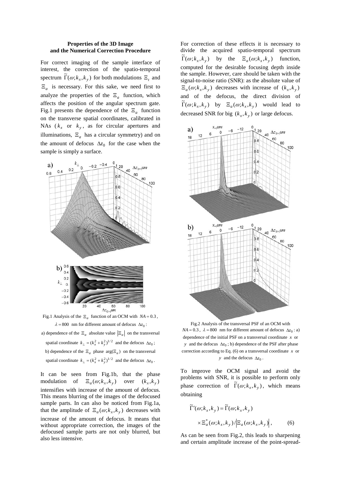#### **Properties of the 3D Image and the Numerical Correction Procedure**

For correct imaging of the sample interface of interest, the correction of the spatio-temporal spectrum  $\tilde{\Gamma}(\omega; k_x, k_y)$  for both modulations  $\Xi_t$  and  $\Xi_a$  is necessary. For this sake, we need first to analyze the properties of the  $\Xi_a$  function, which affects the position of the angular spectrum gate. Fig.1 presents the dependence of the  $\Xi_a$  function on the transverse spatial coordinates, calibrated in NAs ( $k_x$  or  $k_y$ , as for circular apertures and illuminations,  $\Xi_a$  has a circular symmetry) and on the amount of defocus  $\Delta z_0$  for the case when the sample is simply a surface.



Fig.1 Analysis of the  $\Xi_a$  function of an OCM with  $NA = 0.3$ ,  $\lambda = 800$  nm for different amount of defocus  $\Delta z_0$ :

a) dependence of the  $\Xi_a$  absolute value  $|\Xi_a|$  on the transversal spatial coordinate  $k_{\perp} = (k_x^2 + k_y^2)^{1/2}$  and the defocus  $\Delta z_0$ ; b) dependence of the  $\Xi_a$  phase  $\arg(\Xi_a)$  on the transversal spatial coordinate  $k_{\perp} = (k_x^2 + k_y^2)^{1/2}$  and the defocus  $\Delta z_0$ .

It can be seen from Fig.1b, that the phase modulation of  $\Xi_a(\omega; k_x, k_y)$  over  $(k_x, k_y)$ intensifies with increase of the amount of defocus. This means blurring of the images of the defocused sample parts. In can also be noticed from Fig.1a, that the amplitude of  $\Xi_a(\omega; k_x, k_y)$  decreases with increase of the amount of defocus. It means that without appropriate correction, the images of the defocused sample parts are not only blurred, but also less intensive.

For correction of these effects it is necessary to divide the acquired spatio-temporal spectrum  $\Gamma(\omega; k_x, k_y)$  by the  $\Xi_a(\omega; k_x, k_y)$  function, computed for the desirable focusing depth inside the sample. However, care should be taken with the signal-to-noise ratio (SNR): as the absolute value of  $\Xi_a(\omega; k_x, k_y)$  decreases with increase of  $(k_x, k_y)$ and of the defocus, the direct division of  $\widetilde{\Gamma}(\omega; k_x, k_y)$  by  $\Xi_a(\omega; k_x, k_y)$  would lead to decreased SNR for big  $(k_x, k_y)$  or large defocus.



Fig.2 Analysis of the transversal PSF of an OCM with *NA* = 0.3,  $\lambda$  = 800 nm for different amount of defocus  $\Delta z_0$ : a) dependence of the initial PSF on a transversal coordinate *x* or *y* and the defocus  $\Delta z_0$ ; b) dependence of the PSF after phase correction according to Eq. (6) on a transversal coordinate *x* or *y* and the defocus  $\Delta z_0$ .

To improve the OCM signal and avoid the problems with SNR, it is possible to perform only phase correction of  $\tilde{\Gamma}(\omega; k_x, k_y)$ , which means obtaining

$$
\widetilde{\Gamma}'(\omega;k_x,k_y) = \widetilde{\Gamma}(\omega;k_x,k_y)
$$

$$
\times \Xi_a^*(\omega;k_x,k_y) / \Big| \Xi_a(\omega;k_x,k_y) \Big|, \qquad (6)
$$

As can be seen from Fig.2, this leads to sharpening and certain amplitude increase of the point-spread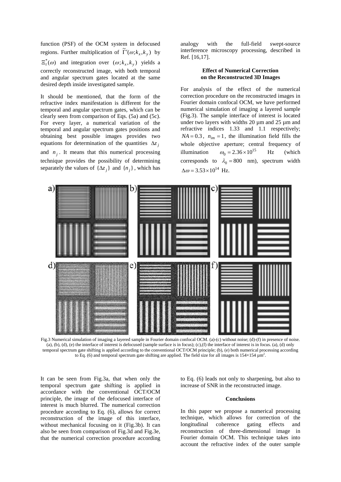function (PSF) of the OCM system in defocused regions. Further multiplication of  $\tilde{\Gamma}'(\omega; k_x, k_y)$  by  $\Xi_{t}^{*}(\omega)$  and integration over  $(\omega; k_{x}, k_{y})$  yields a correctly reconstructed image, with both temporal and angular spectrum gates located at the same desired depth inside investigated sample.

It should be mentioned, that the form of the refractive index manifestation is different for the temporal and angular spectrum gates, which can be clearly seen from comparison of Eqs. (5a) and (5c). For every layer, a numerical variation of the temporal and angular spectrum gates positions and obtaining best possible images provides two equations for determination of the quantities  $\Delta z_i$ and  $n_i$ . It means that this numerical processing technique provides the possibility of determining separately the values of  $\{\Delta z_i\}$  and  $\{n_i\}$ , which has

analogy with the full-field swept-source interference microscopy processing, described in Ref. [16,17].

## **Effect of Numerical Correction on the Reconstructed 3D Images**

For analysis of the effect of the numerical correction procedure on the reconstructed images in Fourier domain confocal OCM, we have performed numerical simulation of imaging a layered sample (Fig.3). The sample interface of interest is located under two layers with widths 20 µm and 25 µm and refractive indices 1.33 and 1.1 respectively;  $NA = 0.3$ ,  $n_{im} = 1$ , the illumination field fills the whole objective aperture; central frequency of illumination  $\omega_0 = 2.36 \times 10^{15}$  Hz (which corresponds to  $\lambda_0 = 800$  nm), spectrum width  $\Delta \omega = 3.53 \times 10^{14}$  Hz.



Fig.3 Numerical simulation of imaging a layered sample in Fourier domain confocal OCM. (a)-(c) without noise; (d)-(f) in presence of noise. (a), (b), (d), (e) the interface of interest is defocused (sample surface is in focus); (c),(f) the interface of interest is in focus. (a), (d) only temporal spectrum gate shifting is applied according to the conventional OCT/OCM principle; (b), (e) both numerical processing according to Eq. (6) and temporal spectrum gate shifting are applied. The field size for all images is  $154\times154 \mu m^2$ .

It can be seen from Fig.3a, that when only the temporal spectrum gate shifting is applied in accordance with the conventional OCT/OCM principle, the image of the defocused interface of interest is much blurred. The numerical correction procedure according to Eq. (6), allows for correct reconstruction of the image of this interface, without mechanical focusing on it (Fig.3b). It can also be seen from comparison of Fig.3d and Fig.3e, that the numerical correction procedure according

to Eq. (6) leads not only to sharpening, but also to increase of SNR in the reconstructed image.

# **Conclusions**

In this paper we propose a numerical processing technique, which allows for correction of the longitudinal coherence gating effects and reconstruction of three-dimensional image in Fourier domain OCM. This technique takes into account the refractive index of the outer sample